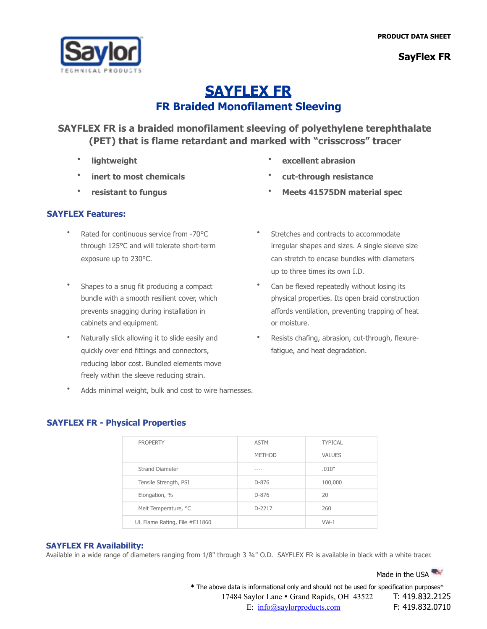**SayFlex FR**



## **SAYFLEX FR FR Braided Monofilament Sleeving**

**SAYFLEX FR is a braided monofilament sleeving of polyethylene terephthalate (PET) that is flame retardant and marked with "crisscross" tracer** 

- 
- 
- 

## **SAYFLEX Features:**

- Rated for continuous service from -70°C through 125°C and will tolerate short-term exposure up to 230°C.
- Shapes to a snug fit producing a compact bundle with a smooth resilient cover, which prevents snagging during installation in cabinets and equipment.
- Naturally slick allowing it to slide easily and quickly over end fittings and connectors, reducing labor cost. Bundled elements move freely within the sleeve reducing strain.
- Adds minimal weight, bulk and cost to wire harnesses.
- **lightweight excellent abrasion**
- **inert to most chemicals cut-through resistance**
- **resistant to fungus Meets 41575DN material spec**
	- Stretches and contracts to accommodate irregular shapes and sizes. A single sleeve size can stretch to encase bundles with diameters up to three times its own I.D.
	- Can be flexed repeatedly without losing its physical properties. Its open braid construction affords ventilation, preventing trapping of heat or moisture.
	- Resists chafing, abrasion, cut-through, flexurefatigue, and heat degradation.

## **SAYFLEX FR - Physical Properties**

| <b>PROPERTY</b>               | <b>ASTM</b>   | <b>TYPICAL</b> |  |
|-------------------------------|---------------|----------------|--|
|                               | <b>METHOD</b> | <b>VALUES</b>  |  |
| Strand Diameter               | ----          | .010"          |  |
| Tensile Strength, PSI         | D-876         | 100,000        |  |
| Elongation, %                 | D-876         | 20             |  |
| Melt Temperature, °C          | D-2217        | 260            |  |
| UL Flame Rating, File #E11860 |               | $WW-1$         |  |

## **SAYFLEX FR Availability:**

Available in a wide range of diameters ranging from 1/8" through 3 ¾" O.D. SAYFLEX FR is available in black with a white tracer.

Made in the USA

**\*** The above data is informational only and should not be used for specification purposes\* 17484 Saylor Lane • Grand Rapids, OH 43522 T: 419.832.2125 E: [info@saylorproducts.com](mailto:info@saylorproducts.com) F: 419.832.0710